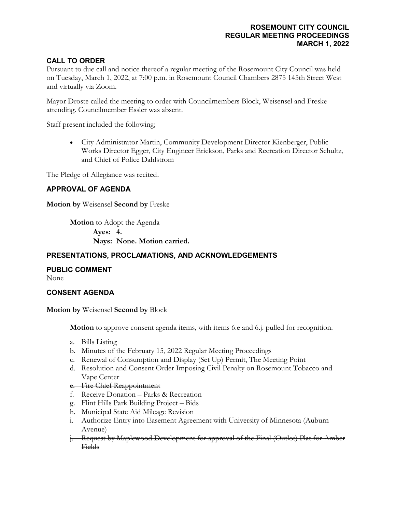# **ROSEMOUNT CITY COUNCIL REGULAR MEETING PROCEEDINGS MARCH 1, 2022**

# **CALL TO ORDER**

Pursuant to due call and notice thereof a regular meeting of the Rosemount City Council was held on Tuesday, March 1, 2022, at 7:00 p.m. in Rosemount Council Chambers 2875 145th Street West and virtually via Zoom.

Mayor Droste called the meeting to order with Councilmembers Block, Weisensel and Freske attending. Councilmember Essler was absent.

Staff present included the following;

• City Administrator Martin, Community Development Director Kienberger, Public Works Director Egger, City Engineer Erickson, Parks and Recreation Director Schultz, and Chief of Police Dahlstrom

The Pledge of Allegiance was recited.

# **APPROVAL OF AGENDA**

**Motion by** Weisensel **Second by** Freske

**Motion** to Adopt the Agenda **Ayes: 4. Nays: None. Motion carried.**

# **PRESENTATIONS, PROCLAMATIONS, AND ACKNOWLEDGEMENTS**

#### **PUBLIC COMMENT**

None

#### **CONSENT AGENDA**

**Motion by** Weisensel **Second by** Block

**Motion** to approve consent agenda items, with items 6.e and 6.j. pulled for recognition.

- a. Bills Listing
- b. Minutes of the February 15, 2022 Regular Meeting Proceedings
- c. Renewal of Consumption and Display (Set Up) Permit, The Meeting Point
- d. Resolution and Consent Order Imposing Civil Penalty on Rosemount Tobacco and Vape Center

### e. Fire Chief Reappointment

- f. Receive Donation Parks & Recreation
- g. Flint Hills Park Building Project Bids
- h. Municipal State Aid Mileage Revision
- i. Authorize Entry into Easement Agreement with University of Minnesota (Auburn Avenue)
- j. Request by Maplewood Development for approval of the Final (Outlot) Plat for Amber **Fields**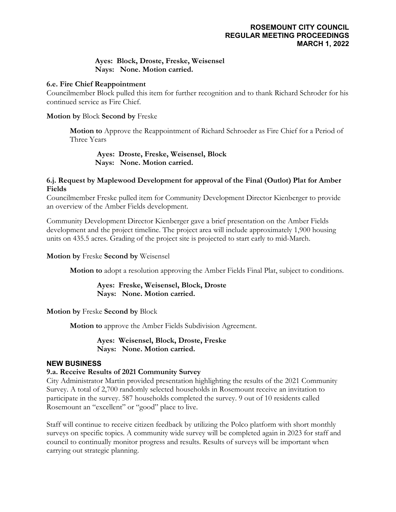# **Ayes: Block, Droste, Freske, Weisensel Nays: None. Motion carried.**

#### **6.e. Fire Chief Reappointment**

Councilmember Block pulled this item for further recognition and to thank Richard Schroder for his continued service as Fire Chief.

**Motion by** Block **Second by** Freske

**Motion to** Approve the Reappointment of Richard Schroeder as Fire Chief for a Period of Three Years

**Ayes: Droste, Freske, Weisensel, Block Nays: None. Motion carried.**

### **6.j. Request by Maplewood Development for approval of the Final (Outlot) Plat for Amber Fields**

Councilmember Freske pulled item for Community Development Director Kienberger to provide an overview of the Amber Fields development.

Community Development Director Kienberger gave a brief presentation on the Amber Fields development and the project timeline. The project area will include approximately 1,900 housing units on 435.5 acres. Grading of the project site is projected to start early to mid-March.

**Motion by** Freske **Second by** Weisensel

**Motion to** adopt a resolution approving the Amber Fields Final Plat, subject to conditions.

**Ayes: Freske, Weisensel, Block, Droste Nays: None. Motion carried.**

**Motion by** Freske **Second by** Block

**Motion to** approve the Amber Fields Subdivision Agreement.

**Ayes: Weisensel, Block, Droste, Freske Nays: None. Motion carried.**

## **NEW BUSINESS**

## **9.a. Receive Results of 2021 Community Survey**

City Administrator Martin provided presentation highlighting the results of the 2021 Community Survey. A total of 2,700 randomly selected households in Rosemount receive an invitation to participate in the survey. 587 households completed the survey. 9 out of 10 residents called Rosemount an "excellent" or "good" place to live.

Staff will continue to receive citizen feedback by utilizing the Polco platform with short monthly surveys on specific topics. A community wide survey will be completed again in 2023 for staff and council to continually monitor progress and results. Results of surveys will be important when carrying out strategic planning.